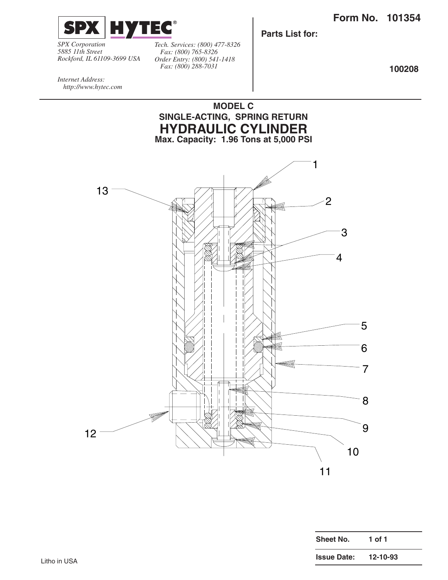

*SPX Corporation 5885 11th Street Rockford, IL 61109-3699 USA* *Tech. Services: (800) 477-8326 Fax: (800) 765-8326 Order Entry: (800) 541-1418 Fax: (800) 288-7031*

**Parts List for:**

**100208**

*Internet Address: http://www.hytec.com*



| <b>Sheet No.</b>   | 1 of 1   |
|--------------------|----------|
| <b>Issue Date:</b> | 12-10-93 |